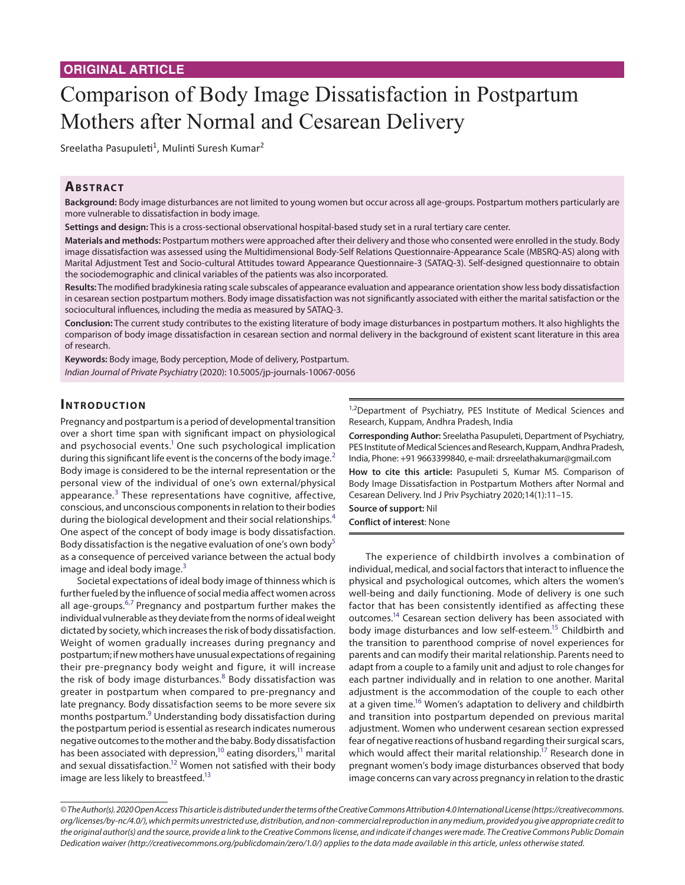# Comparison of Body Image Dissatisfaction in Postpartum Mothers after Normal and Cesarean Delivery

Sreelatha Pasupuleti<sup>1</sup>, Mulinti Suresh Kumar<sup>2</sup>

# **ABSTRACT**

**Background:** Body image disturbances are not limited to young women but occur across all age-groups. Postpartum mothers particularly are more vulnerable to dissatisfaction in body image.

**Settings and design:** This is a cross-sectional observational hospital-based study set in a rural tertiary care center.

**Materials and methods:** Postpartum mothers were approached after their delivery and those who consented were enrolled in the study. Body image dissatisfaction was assessed using the Multidimensional Body-Self Relations Questionnaire-Appearance Scale (MBSRQ-AS) along with Marital Adjustment Test and Socio-cultural Attitudes toward Appearance Questionnaire-3 (SATAQ-3). Self-designed questionnaire to obtain the sociodemographic and clinical variables of the patients was also incorporated.

**Results:** The modified bradykinesia rating scale subscales of appearance evaluation and appearance orientation show less body dissatisfaction in cesarean section postpartum mothers. Body image dissatisfaction was not significantly associated with either the marital satisfaction or the sociocultural influences, including the media as measured by SATAQ-3.

**Conclusion:** The current study contributes to the existing literature of body image disturbances in postpartum mothers. It also highlights the comparison of body image dissatisfaction in cesarean section and normal delivery in the background of existent scant literature in this area of research.

**Keywords:** Body image, Body perception, Mode of delivery, Postpartum.

*Indian Journal of Private Psychiatry* (2020): 10.5005/jp-journals-10067-0056

# **INTRODUCTION**

Pregnancy and postpartum is a period of developmental transition over a short time span with significant impact on physiological and psychosocial events.<sup>1</sup> One such psychological implication during this significant life event is the concerns of the body image.<sup>[2](#page-4-1)</sup> Body image is considered to be the internal representation or the personal view of the individual of one's own external/physical appearance.<sup>[3](#page-4-2)</sup> These representations have cognitive, affective, conscious, and unconscious components in relation to their bodies during the biological development and their social relationships.<sup>[4](#page-4-3)</sup> One aspect of the concept of body image is body dissatisfaction. Body dissatisfaction is the negative evaluation of one's own body<sup>[5](#page-4-4)</sup> as a consequence of perceived variance between the actual body image and ideal body image. $3$ 

Societal expectations of ideal body image of thinness which is further fueled by the influence of social media affect women across all age-groups.<sup>[6](#page-4-5)[,7](#page-4-6)</sup> Pregnancy and postpartum further makes the individual vulnerable as they deviate from the norms of ideal weight dictated by society, which increases the risk of body dissatisfaction. Weight of women gradually increases during pregnancy and postpartum; if new mothers have unusual expectations of regaining their pre-pregnancy body weight and figure, it will increase the risk of body image disturbances.<sup>[8](#page-4-7)</sup> Body dissatisfaction was greater in postpartum when compared to pre-pregnancy and late pregnancy. Body dissatisfaction seems to be more severe six months postpartum.<sup>9</sup> Understanding body dissatisfaction during the postpartum period is essential as research indicates numerous negative outcomes to the mother and the baby. Body dissatisfaction has been associated with depression,<sup>10</sup> eating disorders,<sup>11</sup> marital and sexual dissatisfaction.<sup>12</sup> Women not satisfied with their body image are less likely to breastfeed.<sup>13</sup>

<sup>1,2</sup>Department of Psychiatry, PES Institute of Medical Sciences and Research, Kuppam, Andhra Pradesh, India

**Corresponding Author:** Sreelatha Pasupuleti, Department of Psychiatry, PES Institute of Medical Sciences and Research, Kuppam, Andhra Pradesh, India, Phone: +91 9663399840, e-mail: drsreelathakumar@gmail.com

**How to cite this article:** Pasupuleti S, Kumar MS. Comparison of Body Image Dissatisfaction in Postpartum Mothers after Normal and Cesarean Delivery. Ind J Priv Psychiatry 2020;14(1):11–15.

**Source of support:** Nil **Conflict of interest**: None

The experience of childbirth involves a combination of individual, medical, and social factors that interact to influence the physical and psychological outcomes, which alters the women's well-being and daily functioning. Mode of delivery is one such factor that has been consistently identified as affecting these outcomes[.14](#page-4-13) Cesarean section delivery has been associated with body image disturbances and low self-esteem.<sup>15</sup> Childbirth and the transition to parenthood comprise of novel experiences for parents and can modify their marital relationship. Parents need to adapt from a couple to a family unit and adjust to role changes for each partner individually and in relation to one another. Marital adjustment is the accommodation of the couple to each other at a given time.<sup>16</sup> Women's adaptation to delivery and childbirth and transition into postpartum depended on previous marital adjustment. Women who underwent cesarean section expressed fear of negative reactions of husband regarding their surgical scars, which would affect their marital relationship.<sup>17</sup> Research done in pregnant women's body image disturbances observed that body image concerns can vary across pregnancy in relation to the drastic

*<sup>©</sup> The Author(s). 2020 Open Access This article is distributed under the terms of the Creative Commons Attribution 4.0 International License (https://creativecommons. org/licenses/by-nc/4.0/), which permits unrestricted use, distribution, and non-commercial reproduction in any medium, provided you give appropriate credit to the original author(s) and the source, provide a link to the Creative Commons license, and indicate if changes were made. The Creative Commons Public Domain Dedication waiver (http://creativecommons.org/publicdomain/zero/1.0/) applies to the data made available in this article, unless otherwise stated.*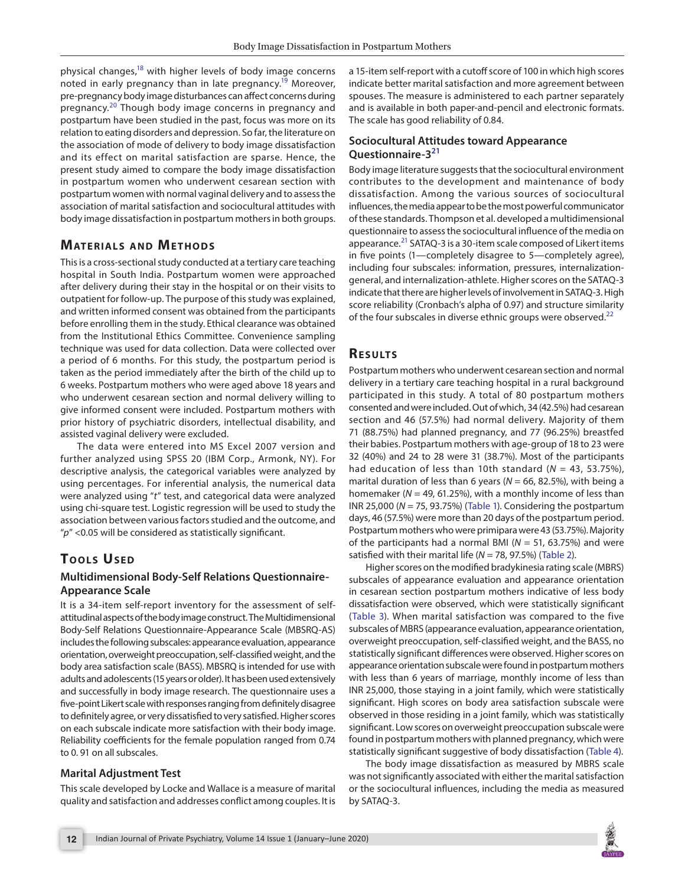physical changes,<sup>18</sup> with higher levels of body image concerns noted in early pregnancy than in late pregnancy.<sup>19</sup> Moreover, pre-pregnancy body image disturbances can affect concerns during pregnancy.[20](#page-4-19) Though body image concerns in pregnancy and postpartum have been studied in the past, focus was more on its relation to eating disorders and depression. So far, the literature on the association of mode of delivery to body image dissatisfaction and its effect on marital satisfaction are sparse. Hence, the present study aimed to compare the body image dissatisfaction in postpartum women who underwent cesarean section with postpartum women with normal vaginal delivery and to assess the association of marital satisfaction and sociocultural attitudes with body image dissatisfaction in postpartum mothers in both groups.

# **MATERIALS AND METHODS**

This is a cross-sectional study conducted at a tertiary care teaching hospital in South India. Postpartum women were approached after delivery during their stay in the hospital or on their visits to outpatient for follow-up. The purpose of this study was explained, and written informed consent was obtained from the participants before enrolling them in the study. Ethical clearance was obtained from the Institutional Ethics Committee. Convenience sampling technique was used for data collection. Data were collected over a period of 6 months. For this study, the postpartum period is taken as the period immediately after the birth of the child up to 6 weeks. Postpartum mothers who were aged above 18 years and who underwent cesarean section and normal delivery willing to give informed consent were included. Postpartum mothers with prior history of psychiatric disorders, intellectual disability, and assisted vaginal delivery were excluded.

The data were entered into MS Excel 2007 version and further analyzed using SPSS 20 (IBM Corp., Armonk, NY). For descriptive analysis, the categorical variables were analyzed by using percentages. For inferential analysis, the numerical data were analyzed using "*t*" test, and categorical data were analyzed using chi-square test. Logistic regression will be used to study the association between various factors studied and the outcome, and "*p*" <0.05 will be considered as statistically significant.

# **TOOLS USED**

### **Multidimensional Body-Self Relations Questionnaire-Appearance Scale**

It is a 34-item self-report inventory for the assessment of selfattitudinal aspects of the body image construct. The Multidimensional Body-Self Relations Questionnaire-Appearance Scale (MBSRQ-AS) includes the following subscales: appearance evaluation, appearance orientation, overweight preoccupation, self-classified weight, and the body area satisfaction scale (BASS). MBSRQ is intended for use with adults and adolescents (15 years or older). It has been used extensively and successfully in body image research. The questionnaire uses a five-point Likert scale with responses ranging from definitely disagree to definitely agree, or very dissatisfied to very satisfied. Higher scores on each subscale indicate more satisfaction with their body image. Reliability coefficients for the female population ranged from 0.74 to 0. 91 on all subscales.

#### **Marital Adjustment Test**

This scale developed by Locke and Wallace is a measure of marital quality and satisfaction and addresses conflict among couples. It is a 15-item self-report with a cutoff score of 100 in which high scores indicate better marital satisfaction and more agreement between spouses. The measure is administered to each partner separately and is available in both paper-and-pencil and electronic formats. The scale has good reliability of 0.84.

#### **Sociocultural Attitudes toward Appearance Questionnaire-3[21](#page-4-20)**

Body image literature suggests that the sociocultural environment contributes to the development and maintenance of body dissatisfaction. Among the various sources of sociocultural influences, the media appear to be the most powerful communicator of these standards. Thompson et al. developed a multidimensional questionnaire to assess the sociocultural influence of the media on appearance.<sup>21</sup> SATAQ-3 is a 30-item scale composed of Likert items in five points (1—completely disagree to 5—completely agree), including four subscales: information, pressures, internalizationgeneral, and internalization-athlete. Higher scores on the SATAQ-3 indicate that there are higher levels of involvement in SATAQ-3. High score reliability (Cronbach's alpha of 0.97) and structure similarity of the four subscales in diverse ethnic groups were observed. $^{22}$  $^{22}$  $^{22}$ 

#### **Re s u lts**

Postpartum mothers who underwent cesarean section and normal delivery in a tertiary care teaching hospital in a rural background participated in this study. A total of 80 postpartum mothers consented and were included. Out of which, 34 (42.5%) had cesarean section and 46 (57.5%) had normal delivery. Majority of them 71 (88.75%) had planned pregnancy, and 77 (96.25%) breastfed their babies. Postpartum mothers with age-group of 18 to 23 were 32 (40%) and 24 to 28 were 31 (38.7%). Most of the participants had education of less than 10th standard  $(N = 43, 53.75\%)$ , marital duration of less than 6 years ( $N = 66$ , 82.5%), with being a homemaker (*N* = 49, 61.25%), with a monthly income of less than INR 25,000 (*N* = 75, 93.75%) [\(Table 1](#page-2-0)). Considering the postpartum days, 46 (57.5%) were more than 20 days of the postpartum period. Postpartum mothers who were primipara were 43 (53.75%). Majority of the participants had a normal BMI (*N* = 51, 63.75%) and were satisfied with their marital life (*N* = 78, 97.5%) ([Table 2](#page-2-1)).

Higher scores on the modified bradykinesia rating scale (MBRS) subscales of appearance evaluation and appearance orientation in cesarean section postpartum mothers indicative of less body dissatisfaction were observed, which were statistically significant ([Table 3](#page-3-0)). When marital satisfaction was compared to the five subscales of MBRS (appearance evaluation, appearance orientation, overweight preoccupation, self-classified weight, and the BASS, no statistically significant differences were observed. Higher scores on appearance orientation subscale were found in postpartum mothers with less than 6 years of marriage, monthly income of less than INR 25,000, those staying in a joint family, which were statistically significant. High scores on body area satisfaction subscale were observed in those residing in a joint family, which was statistically significant. Low scores on overweight preoccupation subscale were found in postpartum mothers with planned pregnancy, which were statistically significant suggestive of body dissatisfaction ([Table 4\)](#page-3-1).

The body image dissatisfaction as measured by MBRS scale was not significantly associated with either the marital satisfaction or the sociocultural influences, including the media as measured by SATAQ-3.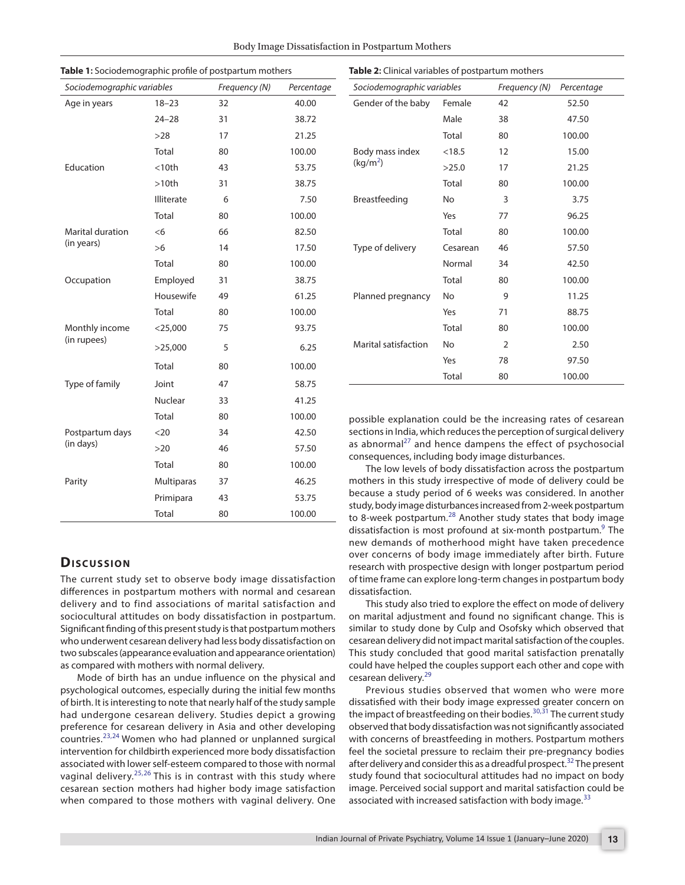| Sociodemographic variables    |                   | Frequency (N) | Percentage |
|-------------------------------|-------------------|---------------|------------|
| Age in years                  | $18 - 23$         | 32            | 40.00      |
|                               | $24 - 28$         | 31            | 38.72      |
|                               | >28               | 17            | 21.25      |
|                               | Total             | 80            | 100.00     |
| Education                     | $<$ 10th          | 43            | 53.75      |
|                               | >10th             | 31            | 38.75      |
|                               | <b>Illiterate</b> | 6             | 7.50       |
|                               | Total             | 80            | 100.00     |
| <b>Marital duration</b>       | <6                | 66            | 82.50      |
| (in years)                    | >6                | 14            | 17.50      |
|                               | Total             | 80            | 100.00     |
| Occupation                    | Employed          | 31            | 38.75      |
|                               | Housewife         | 49            | 61.25      |
|                               | Total             | 80            | 100.00     |
| Monthly income<br>(in rupees) | $<$ 25,000        | 75            | 93.75      |
|                               | >25,000           | 5             | 6.25       |
|                               | Total             | 80            | 100.00     |
| Type of family                | Joint             | 47            | 58.75      |
|                               | Nuclear           | 33            | 41.25      |
|                               | Total             | 80            | 100.00     |
| Postpartum days<br>(in days)  | $<$ 20            | 34            | 42.50      |
|                               | >20               | 46            | 57.50      |
|                               | Total             | 80            | 100.00     |
| Parity                        | <b>Multiparas</b> | 37            | 46.25      |
|                               | Primipara         | 43            | 53.75      |
|                               | Total             | 80            | 100.00     |

<span id="page-2-0"></span>**Table 1:** Sociodemographic profile of postpartum mothers

| <b>DISCUSSION</b> |  |  |  |
|-------------------|--|--|--|
|-------------------|--|--|--|

The current study set to observe body image dissatisfaction differences in postpartum mothers with normal and cesarean delivery and to find associations of marital satisfaction and sociocultural attitudes on body dissatisfaction in postpartum. Significant finding of this present study is that postpartum mothers who underwent cesarean delivery had less body dissatisfaction on two subscales (appearance evaluation and appearance orientation) as compared with mothers with normal delivery.

Mode of birth has an undue influence on the physical and psychological outcomes, especially during the initial few months of birth. It is interesting to note that nearly half of the study sample had undergone cesarean delivery. Studies depict a growing preference for cesarean delivery in Asia and other developing countries.[23,](#page-4-22)[24](#page-4-23) Women who had planned or unplanned surgical intervention for childbirth experienced more body dissatisfaction associated with lower self-esteem compared to those with normal vaginal delivery.[25,](#page-4-24)[26](#page-4-25) This is in contrast with this study where cesarean section mothers had higher body image satisfaction when compared to those mothers with vaginal delivery. One possible explanation could be the increasing rates of cesarean sections in India, which reduces the perception of surgical delivery as abnormal $^{27}$  and hence dampens the effect of psychosocial consequences, including body image disturbances.

The low levels of body dissatisfaction across the postpartum mothers in this study irrespective of mode of delivery could be because a study period of 6 weeks was considered. In another study, body image disturbances increased from 2-week postpartum to 8-week postpartum. $^{28}$  $^{28}$  $^{28}$  Another study states that body image dissatisfaction is most profound at six-month postpartum.<sup>[9](#page-4-8)</sup> The new demands of motherhood might have taken precedence over concerns of body image immediately after birth. Future research with prospective design with longer postpartum period of time frame can explore long-term changes in postpartum body dissatisfaction.

This study also tried to explore the effect on mode of delivery on marital adjustment and found no significant change. This is similar to study done by Culp and Osofsky which observed that cesarean delivery did not impact marital satisfaction of the couples. This study concluded that good marital satisfaction prenatally could have helped the couples support each other and cope with cesarean delivery.<sup>[29](#page-4-28)</sup>

Previous studies observed that women who were more dissatisfied with their body image expressed greater concern on the impact of breastfeeding on their bodies. $30,31$  $30,31$  The current study observed that body dissatisfaction was not significantly associated with concerns of breastfeeding in mothers. Postpartum mothers feel the societal pressure to reclaim their pre-pregnancy bodies after delivery and consider this as a dreadful prospect.<sup>[32](#page-4-31)</sup> The present study found that sociocultural attitudes had no impact on body image. Perceived social support and marital satisfaction could be associated with increased satisfaction with body image.<sup>[33](#page-4-32)</sup>

*Sociodemographic variables Frequency (N) Percentage* Gender of the baby Female 42 52.50 Male 38 47.50 Total 80 100.00 Body mass index  $(kg/m<sup>2</sup>)$ <18.5 12 15.00 >25.0 17 21.25 Total 80 100.00 Breastfeeding No 3 3.75 Yes 77 96.25 Total 80 100.00 Type of delivery Cesarean 46 57.50 Normal 34 42.50 Total 80 100.00 Planned pregnancy No 9 11.25 Yes 71 88.75 Total 80 100.00 Marital satisfaction No 2 2.50 Yes 78 97.50 Total 80 100.00

<span id="page-2-1"></span>**Table 2:** Clinical variables of postpartum mothers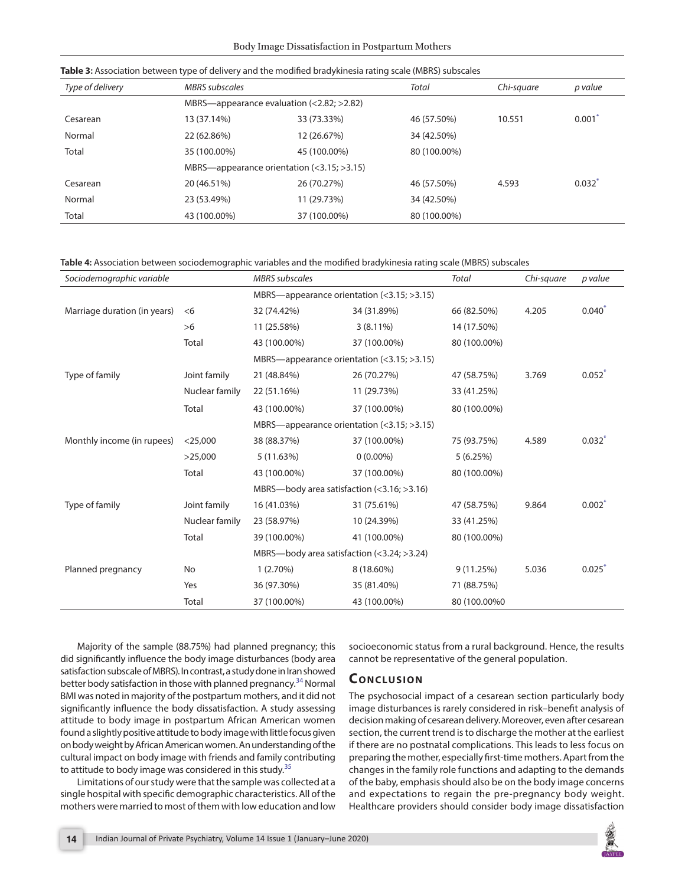| Type of delivery | <b>MBRS</b> subscales                             |              | Total        | Chi-square | p value              |
|------------------|---------------------------------------------------|--------------|--------------|------------|----------------------|
|                  | MBRS—appearance evaluation $(<2.82; >2.82)$       |              |              |            |                      |
| Cesarean         | 13 (37.14%)                                       | 33 (73.33%)  | 46 (57.50%)  | 10.551     | 0.001                |
| Normal           | 22 (62.86%)                                       | 12 (26.67%)  | 34 (42.50%)  |            |                      |
| Total            | 35 (100.00%)                                      | 45 (100.00%) | 80 (100.00%) |            |                      |
|                  | MBRS—appearance orientation $(3.15; >math>3.15$ ) |              |              |            |                      |
| Cesarean         | 20 (46.51%)                                       | 26 (70.27%)  | 46 (57.50%)  | 4.593      | $0.032$ <sup>*</sup> |
| Normal           | 23 (53.49%)                                       | 11 (29.73%)  | 34 (42.50%)  |            |                      |
| Total            | 43 (100.00%)                                      | 37 (100.00%) | 80 (100.00%) |            |                      |

<span id="page-3-0"></span>**Table 3:** Association between type of delivery and the modified bradykinesia rating scale (MBRS) subscales

<span id="page-3-1"></span>**Table 4:** Association between sociodemographic variables and the modified bradykinesia rating scale (MBRS) subscales

| Sociodemographic variable    |                | <b>MBRS</b> subscales                             |              | <b>Total</b> | Chi-square | p value              |
|------------------------------|----------------|---------------------------------------------------|--------------|--------------|------------|----------------------|
|                              |                | MBRS—appearance orientation $(3.15; >math>3.15$ ) |              |              |            |                      |
| Marriage duration (in years) | <6             | 32 (74.42%)                                       | 34 (31.89%)  | 66 (82.50%)  | 4.205      | $0.040*$             |
|                              | >6             | 11 (25.58%)                                       | $3(8.11\%)$  | 14 (17.50%)  |            |                      |
|                              | Total          | 43 (100.00%)                                      | 37 (100.00%) | 80 (100.00%) |            |                      |
|                              |                | MBRS—appearance orientation $(3.15; >math>3.15$ ) |              |              |            |                      |
| Type of family               | Joint family   | 21 (48.84%)                                       | 26 (70.27%)  | 47 (58.75%)  | 3.769      | $0.052$ <sup>*</sup> |
|                              | Nuclear family | 22 (51.16%)                                       | 11 (29.73%)  | 33 (41.25%)  |            |                      |
|                              | Total          | 43 (100.00%)                                      | 37 (100.00%) | 80 (100.00%) |            |                      |
|                              |                | MBRS—appearance orientation $(3.15; >math>3.15$ ) |              |              |            |                      |
| Monthly income (in rupees)   | $<$ 25,000     | 38 (88.37%)                                       | 37 (100.00%) | 75 (93.75%)  | 4.589      | $0.032$ <sup>*</sup> |
|                              | >25,000        | 5(11.63%)                                         | $0(0.00\%)$  | 5(6.25%)     |            |                      |
|                              | Total          | 43 (100.00%)                                      | 37 (100.00%) | 80 (100.00%) |            |                      |
|                              |                | MBRS-body area satisfaction $(3.16; >3.16)$       |              |              |            |                      |
| Type of family               | Joint family   | 16 (41.03%)                                       | 31 (75.61%)  | 47 (58.75%)  | 9.864      | $0.002$ <sup>*</sup> |
|                              | Nuclear family | 23 (58.97%)                                       | 10 (24.39%)  | 33 (41.25%)  |            |                      |
|                              | Total          | 39 (100.00%)                                      | 41 (100.00%) | 80 (100.00%) |            |                      |
|                              |                | MBRS—body area satisfaction $(3.24; >math>3.24$ ) |              |              |            |                      |
| Planned pregnancy            | No             | $1(2.70\%)$                                       | 8 (18.60%)   | 9(11.25%)    | 5.036      | 0.025                |
|                              | Yes            | 36 (97.30%)                                       | 35 (81.40%)  | 71 (88.75%)  |            |                      |
|                              | Total          | 37 (100.00%)                                      | 43 (100.00%) | 80 (100.00%0 |            |                      |

Majority of the sample (88.75%) had planned pregnancy; this did significantly influence the body image disturbances (body area satisfaction subscale of MBRS). In contrast, a study done in Iran showed better body satisfaction in those with planned pregnancy.<sup>34</sup> Normal BMI was noted in majority of the postpartum mothers, and it did not significantly influence the body dissatisfaction. A study assessing attitude to body image in postpartum African American women found a slightly positive attitude to body image with little focus given on body weight by African American women. An understanding of the cultural impact on body image with friends and family contributing to attitude to body image was considered in this study.<sup>[35](#page-4-34)</sup>

Limitations of our study were that the sample was collected at a single hospital with specific demographic characteristics. All of the mothers were married to most of them with low education and low socioeconomic status from a rural background. Hence, the results cannot be representative of the general population.

# **CONCLUSION**

The psychosocial impact of a cesarean section particularly body image disturbances is rarely considered in risk–benefit analysis of decision making of cesarean delivery. Moreover, even after cesarean section, the current trend is to discharge the mother at the earliest if there are no postnatal complications. This leads to less focus on preparing the mother, especially first-time mothers. Apart from the changes in the family role functions and adapting to the demands of the baby, emphasis should also be on the body image concerns and expectations to regain the pre-pregnancy body weight. Healthcare providers should consider body image dissatisfaction